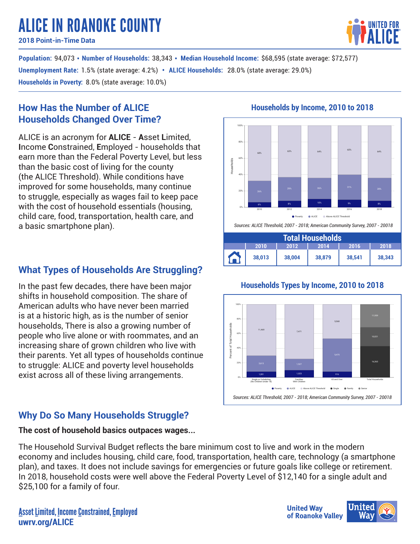# ALICE IN ROANOKE COUNTY

**2018 Point-in-Time Data**

**Population: 94,073 • Number of Households: 38,343 • Median Household Income: \$68,595 (state average: \$72,577) Unemployment Rate**: 1.5% (state average: 4.2%) • ALICE Households: 28.0% (state average: 29.0%) **Households in Poverty:** 8.0% (state average: 10.0%)

## **How Has the Number of ALICE Households Changed Over Time?**

ALICE is an acronym for **ALICE** - **A**sset **L**imited, **I**ncome **C**onstrained, **E**mployed - households that earn more than the Federal Poverty Level, but less than the basic cost of living for the county (the ALICE Threshold). While conditions have improved for some households, many continue to struggle, especially as wages fail to keep pace with the cost of household essentials (housing, child care, food, transportation, health care, and a basic smartphone plan).

# **What Types of Households Are Struggling?**

In the past few decades, there have been major shifts in household composition. The share of American adults who have never been married is at a historic high, as is the number of senior households, There is also a growing number of people who live alone or with roommates, and an increasing share of grown children who live with their parents. Yet all types of households continue to struggle: ALICE and poverty level households exist across all of these living arrangements.

# **Why Do So Many Households Struggle?**

## **The cost of household basics outpaces wages...**

The Household Survival Budget reflects the bare minimum cost to live and work in the modern economy and includes housing, child care, food, transportation, health care, technology (a smartphone plan), and taxes. It does not include savings for emergencies or future goals like college or retirement. In 2018, household costs were well above the Federal Poverty Level of \$12,140 for a single adult and \$25,100 for a family of four.

# **Households by Income, 2010 to 2018**



## **Households Types by Income, 2010 to 2018**